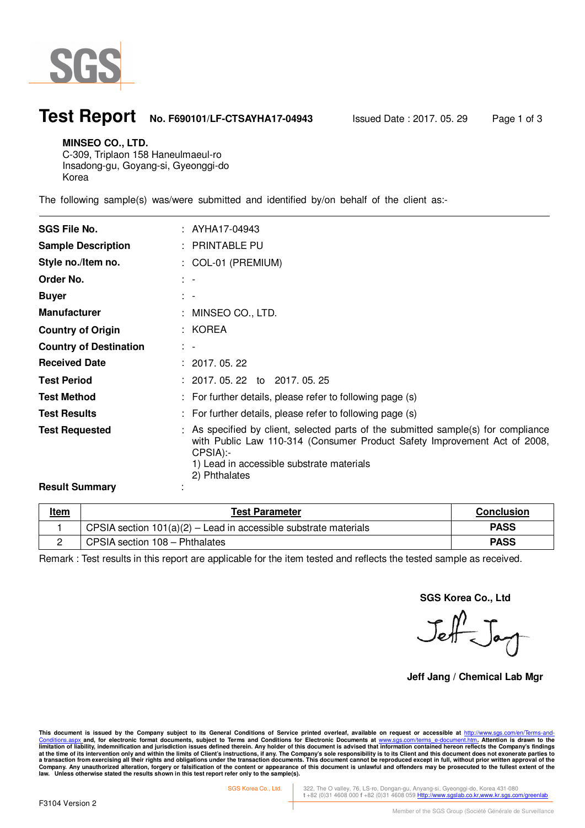

 $\ddot{\phantom{a}}$ 

# **Test Report No. F690101/LF-CTSAYHA17-04943** Issued Date : 2017. 05. 29 Page 1 of 3

#### **MINSEO CO., LTD.**

C-309, Triplaon 158 Haneulmaeul-ro Insadong-gu, Goyang-si, Gyeonggi-do Korea

The following sample(s) was/were submitted and identified by/on behalf of the client as:-

| <b>SGS File No.</b>           | : AYHA17-04943                                                                                                                                                                                                                            |
|-------------------------------|-------------------------------------------------------------------------------------------------------------------------------------------------------------------------------------------------------------------------------------------|
| <b>Sample Description</b>     | : PRINTABLE PU                                                                                                                                                                                                                            |
| Style no./Item no.            | : COL-01 (PREMIUM)                                                                                                                                                                                                                        |
| Order No.                     | $\mathbb{R}^n$                                                                                                                                                                                                                            |
| <b>Buyer</b>                  | t –                                                                                                                                                                                                                                       |
| <b>Manufacturer</b>           | : MINSEO CO., LTD.                                                                                                                                                                                                                        |
| <b>Country of Origin</b>      | : KOREA                                                                                                                                                                                                                                   |
| <b>Country of Destination</b> | $\mathbb{R}^n$                                                                                                                                                                                                                            |
| <b>Received Date</b>          | : 2017.05.22                                                                                                                                                                                                                              |
| <b>Test Period</b>            | : 2017.05.22 to 2017.05.25                                                                                                                                                                                                                |
| <b>Test Method</b>            | : For further details, please refer to following page (s)                                                                                                                                                                                 |
| <b>Test Results</b>           | : For further details, please refer to following page (s)                                                                                                                                                                                 |
| <b>Test Requested</b>         | : As specified by client, selected parts of the submitted sample(s) for compliance<br>with Public Law 110-314 (Consumer Product Safety Improvement Act of 2008,<br>CPSIA):-<br>1) Lead in accessible substrate materials<br>2) Phthalates |
| <b>Result Summary</b>         |                                                                                                                                                                                                                                           |

| <u>Item</u> | <b>Test Parameter</b>                                              | <b>Conclusion</b> |
|-------------|--------------------------------------------------------------------|-------------------|
|             | CPSIA section $101(a)(2)$ – Lead in accessible substrate materials | <b>PASS</b>       |
|             | CPSIA section 108 - Phthalates                                     | <b>PASS</b>       |

Remark : Test results in this report are applicable for the item tested and reflects the tested sample as received.

**SGS Korea Co., Ltd** 

Jeff Jay

**Jeff Jang / Chemical Lab Mgr** 

This document is issued by the Company subject to its General Conditions of Service printed overleaf, available on request or accessible at <u>http://www.sgs.com/en/Terms-and-</u><br><u>Conditions.aspx </u>and, for electronic format do limitation of liability, indemnification and jurisdiction issues defined therein. Any holder of this document is advised that information contained hereon reflects the Company's findings<br>at the time of its intervention onl

SGS Korea Co., Ltd. 322, The O valley, 76, LS-ro, Dongan-gu, Anyang-si, Gyeonggi-do, Korea 431-080 **t** +82 (0)31 4608 000 **f** +82 (0)31 4608 059 Http://www.sgslab.co.kr,www.kr.sgs.com/greenlab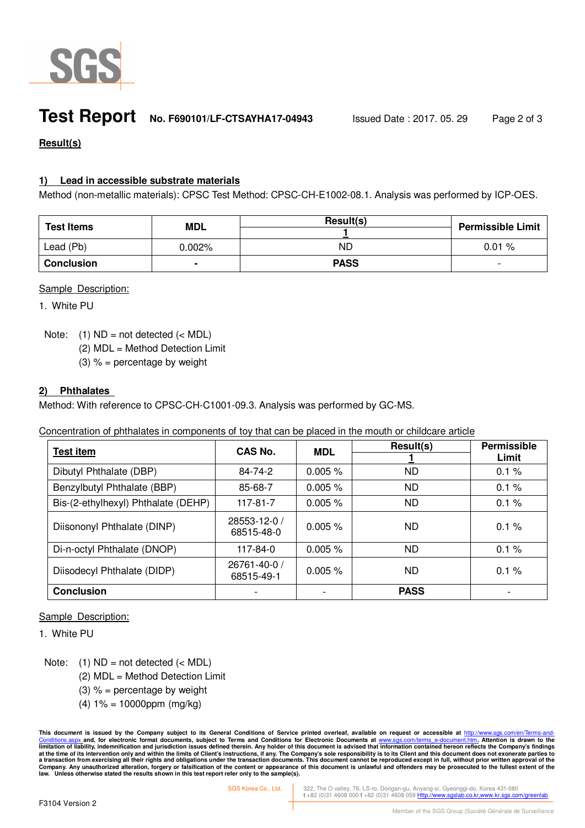

# **Test Report No. F690101/LF-CTSAYHA17-04943** Issued Date : 2017. 05. 29 Page 2 of 3

# **Result(s)**

## **1) Lead in accessible substrate materials**

Method (non-metallic materials): CPSC Test Method: CPSC-CH-E1002-08.1. Analysis was performed by ICP-OES.

| <b>Test Items</b> | <b>MDL</b>     | Result(s)   | <b>Permissible Limit</b> |
|-------------------|----------------|-------------|--------------------------|
| Lead (Pb)         | $0.002\%$      | ΝD          | 0.01%                    |
| <b>Conclusion</b> | $\blacksquare$ | <b>PASS</b> | $\overline{\phantom{0}}$ |

### Sample Description:

1. White PU

Note:  $(1)$  ND = not detected  $(<sub>MDL</sub>)$ 

(2) MDL = Method Detection Limit

(3)  $% =$  percentage by weight

## **2) Phthalates**

Method: With reference to CPSC-CH-C1001-09.3. Analysis was performed by GC-MS.

Concentration of phthalates in components of toy that can be placed in the mouth or childcare article

| <b>Test item</b>                    | CAS No.                    | <b>MDL</b> | Result(s)   | <b>Permissible</b> |
|-------------------------------------|----------------------------|------------|-------------|--------------------|
|                                     |                            |            |             | Limit              |
| Dibutyl Phthalate (DBP)             | 84-74-2                    | 0.005%     | <b>ND</b>   | 0.1%               |
| Benzylbutyl Phthalate (BBP)         | 85-68-7                    | $0.005 \%$ | ND          | 0.1%               |
| Bis-(2-ethylhexyl) Phthalate (DEHP) | 117-81-7                   | $0.005 \%$ | <b>ND</b>   | 0.1%               |
| Diisononyl Phthalate (DINP)         | 28553-12-0 /<br>68515-48-0 | $0.005 \%$ | <b>ND</b>   | 0.1%               |
| Di-n-octyl Phthalate (DNOP)         | 117-84-0                   | $0.005 \%$ | <b>ND</b>   | 0.1%               |
| Diisodecyl Phthalate (DIDP)         | 26761-40-0 /<br>68515-49-1 | $0.005 \%$ | <b>ND</b>   | 0.1%               |
| <b>Conclusion</b>                   |                            |            | <b>PASS</b> |                    |

## Sample Description:

1. White PU

Note:  $(1)$  ND = not detected  $(<sub>MDL</sub>)$ 

- (2) MDL = Method Detection Limit
- (3)  $% =$  percentage by weight
- $(4) 1\% = 10000$ ppm (mg/kg)

This document is issued by the Company subject to its General Conditions of Service printed overleaf, available on request or accessible at <u>http://www.sgs.com/en/Terms-and-</u><br><u>Conditions.aspx </u>and, for electronic format do limitation of liability, indemnification and jurisdiction issues defined therein. Any holder of this document is advised that information contained hereon reflects the Company's findings<br>at the time of its intervention onl